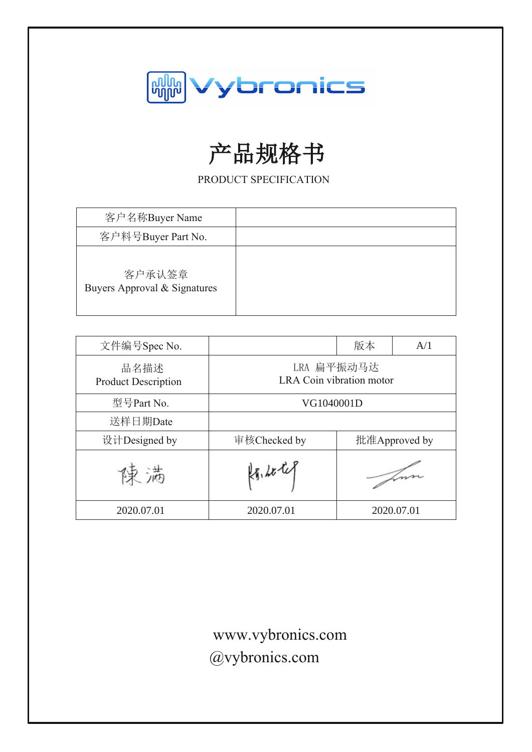

# 产品规格书

PRODUCT SPECIFICATION

| 客户名称Buyer Name                         |  |
|----------------------------------------|--|
| 客户料号Buyer Part No.                     |  |
| 客户承认签章<br>Buyers Approval & Signatures |  |

| 文件编号Spec No.                       |                                        | 版本            | A/1        |
|------------------------------------|----------------------------------------|---------------|------------|
| 品名描述<br><b>Product Description</b> | LRA 扁平振动马达<br>LRA Coin vibration motor |               |            |
| 型号Part No.                         | VG1040001D                             |               |            |
| 送样日期Date                           |                                        |               |            |
| 设计Designed by                      | 审核Checked by                           | 批准Approved by |            |
| 满                                  | $k_{1}, k_{2}$                         |               |            |
| 2020.07.01                         | 2020.07.01                             |               | 2020.07.01 |

www.vybronics.com sales@vybronics.com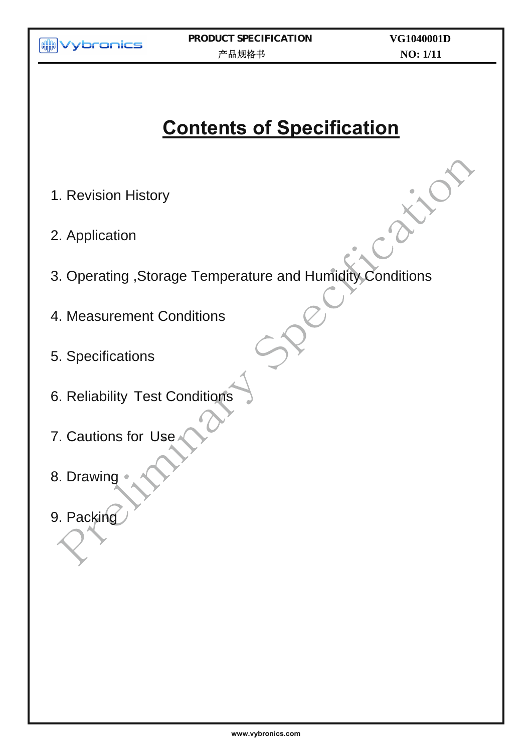

# **Contents of Specification**

- 1. Revision History
- 2. Application
- 3. Operating ,Storage Temperature and Humidity Conditions
- 4. Measurement Conditions
- 5. Specifications
- 6. Reliability Test Conditions
- 7. Cautions for Use
- 8. Drawing
- 9. Packing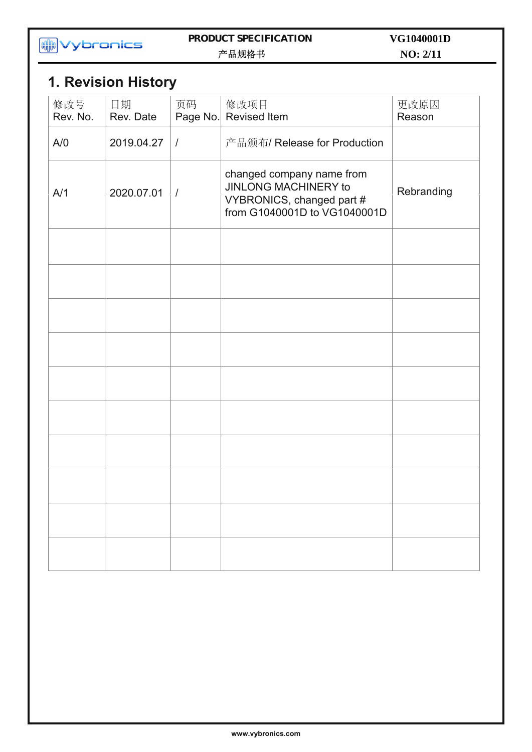

#### **PRODUCT SPECIFICATION**  产品规格书

**NO: 2/11 VG1040001D**

## **1. Revision History**

| 修改号<br>Rev. No. | 日期<br>Rev. Date | 页码<br>Page No. | 修改项目<br><b>Revised Item</b>                                                                                           | 更改原因<br>Reason |
|-----------------|-----------------|----------------|-----------------------------------------------------------------------------------------------------------------------|----------------|
| A/O             | 2019.04.27      | $\sqrt{ }$     | 产品颁布/ Release for Production                                                                                          |                |
| A/1             | 2020.07.01      | $\sqrt{ }$     | changed company name from<br><b>JINLONG MACHINERY to</b><br>VYBRONICS, changed part #<br>from G1040001D to VG1040001D | Rebranding     |
|                 |                 |                |                                                                                                                       |                |
|                 |                 |                |                                                                                                                       |                |
|                 |                 |                |                                                                                                                       |                |
|                 |                 |                |                                                                                                                       |                |
|                 |                 |                |                                                                                                                       |                |
|                 |                 |                |                                                                                                                       |                |
|                 |                 |                |                                                                                                                       |                |
|                 |                 |                |                                                                                                                       |                |
|                 |                 |                |                                                                                                                       |                |
|                 |                 |                |                                                                                                                       |                |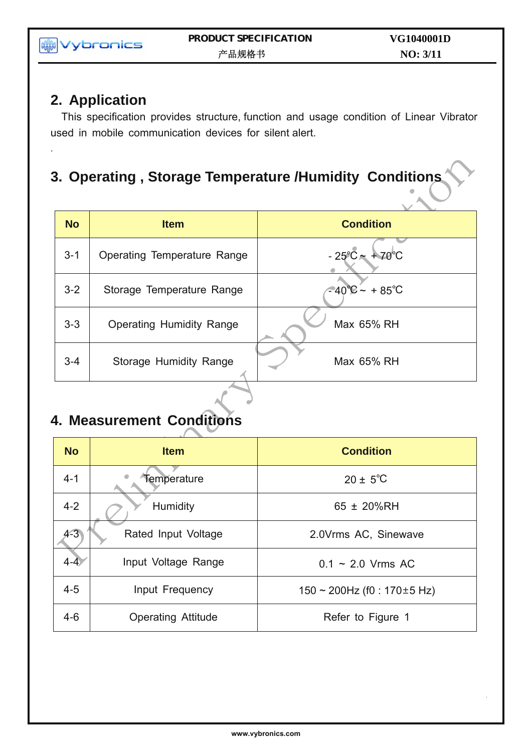## **2. Application**

.

This specification provides structure, function and usage condition of Linear Vibrator used in mobile communication devices for silent alert.

## **3. Operating , Storage Temperature /Humidity Conditions**

| <b>No</b> | <b>Item</b>                        | <b>Condition</b>              |
|-----------|------------------------------------|-------------------------------|
| $3 - 1$   | <b>Operating Temperature Range</b> | $-25^{\circ}C - 70^{\circ}C$  |
| $3 - 2$   | Storage Temperature Range          | $-40^{\circ}C - +85^{\circ}C$ |
| $3 - 3$   | <b>Operating Humidity Range</b>    | Max 65% RH                    |
| $3 - 4$   | Storage Humidity Range             | Max 65% RH                    |
|           |                                    |                               |

## **4. Measurement Conditions**

| <b>No</b> | <b>Item</b>               | <b>Condition</b>                    |
|-----------|---------------------------|-------------------------------------|
| $4 - 1$   | Temperature               | $20 \pm 5^{\circ}C$                 |
| $4 - 2$   | Humidity                  | 65 ± 20%RH                          |
| $4 - 3$   | Rated Input Voltage       | 2.0Vrms AC, Sinewave                |
| $4 - 4$   | Input Voltage Range       | $0.1 \sim 2.0$ Vrms AC              |
| $4 - 5$   | Input Frequency           | $150 \sim 200$ Hz (f0 : 170 ± 5 Hz) |
| $4 - 6$   | <b>Operating Attitude</b> | Refer to Figure 1                   |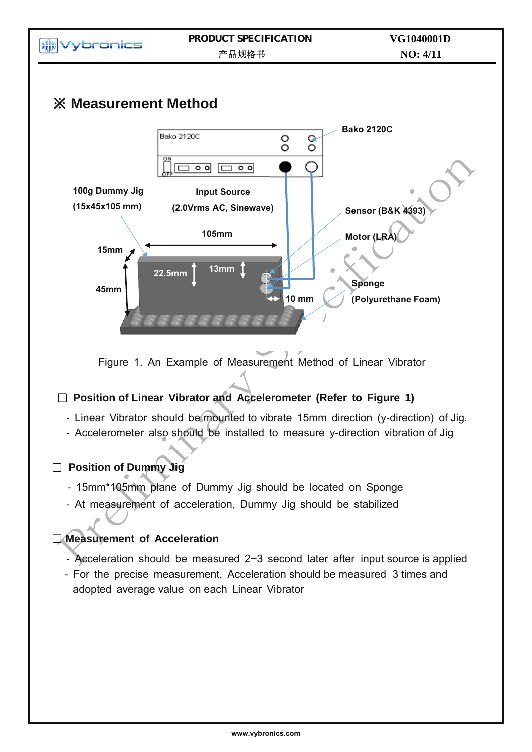

Figure 1. An Example of Measurement Method of Linear Vibrator

#### □ **Position of Linear Vibrator and Accelerometer (Refer to Figure 1)**

- Linear Vibrator should be mounted to vibrate 15mm direction (y-direction) of Jig.
- Accelerometer also should be installed to measure y-direction vibration of Jig

### □ **Position of Dummy Jig**

- 15mm\*105mm plane of Dummy Jig should be located on Sponge
- At measurement of acceleration, Dummy Jig should be stabilized

### □ **Measurement of Acceleration**

- Acceleration should be measured 2~3 second later after input source is applied
- For the precise measurement, Acceleration should be measured 3 times and adopted average value on each Linear Vibrator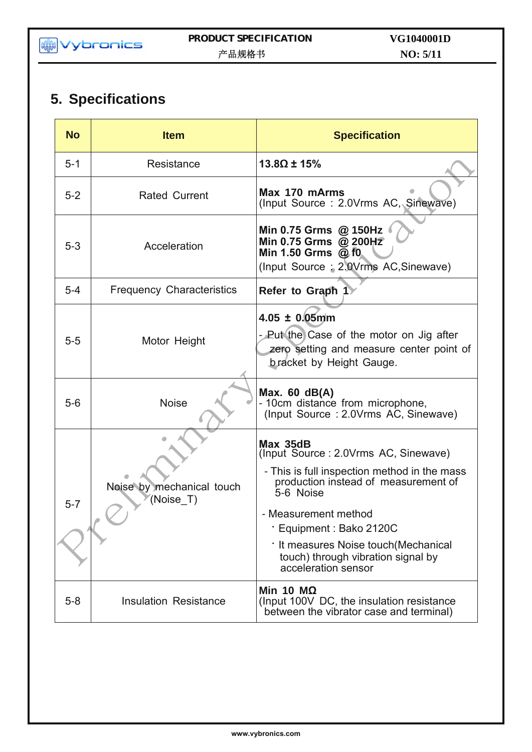## **5. Specifications**

| <b>No</b> | <b>Item</b>                            | <b>Specification</b>                                                                                                                                                                                                                                                                                            |
|-----------|----------------------------------------|-----------------------------------------------------------------------------------------------------------------------------------------------------------------------------------------------------------------------------------------------------------------------------------------------------------------|
| $5 - 1$   | Resistance                             | $13.8\Omega \pm 15\%$                                                                                                                                                                                                                                                                                           |
| $5 - 2$   | <b>Rated Current</b>                   | Max 170 mArms<br>(Input Source: 2.0Vrms AC, Sinewave)                                                                                                                                                                                                                                                           |
| $5 - 3$   | Acceleration                           | Min 0.75 Grms @ 150Hz<br>Min 0.75 Grms @ 200Hz<br>Min 1.50 Grms $@$ f0<br>(Input Source: 2.0Vrms AC, Sinewave)                                                                                                                                                                                                  |
| $5 - 4$   | <b>Frequency Characteristics</b>       | Refer to Graph 1                                                                                                                                                                                                                                                                                                |
| $5-5$     | Motor Height                           | $4.05 \pm 0.05$ mm<br>- Put the Case of the motor on Jig after<br>zero setting and measure center point of<br><b>bracket by Height Gauge.</b>                                                                                                                                                                   |
| $5-6$     | <b>Noise</b>                           | Max. $60$ dB(A)<br>- 10cm distance from microphone,<br>(Input Source: 2.0Vrms AC, Sinewave)                                                                                                                                                                                                                     |
| $5 - 7$   | Noise by mechanical touch<br>(Noise T) | Max 35dB<br>(Input Source: 2.0Vrms AC, Sinewave)<br>- This is full inspection method in the mass<br>production instead of measurement of<br>5-6 Noise<br>- Measurement method<br>· Equipment : Bako 2120C<br>· It measures Noise touch (Mechanical<br>touch) through vibration signal by<br>acceleration sensor |
| $5 - 8$   | <b>Insulation Resistance</b>           | Min 10 $M\Omega$<br>(Input 100V DC, the insulation resistance)<br>between the vibrator case and terminal)                                                                                                                                                                                                       |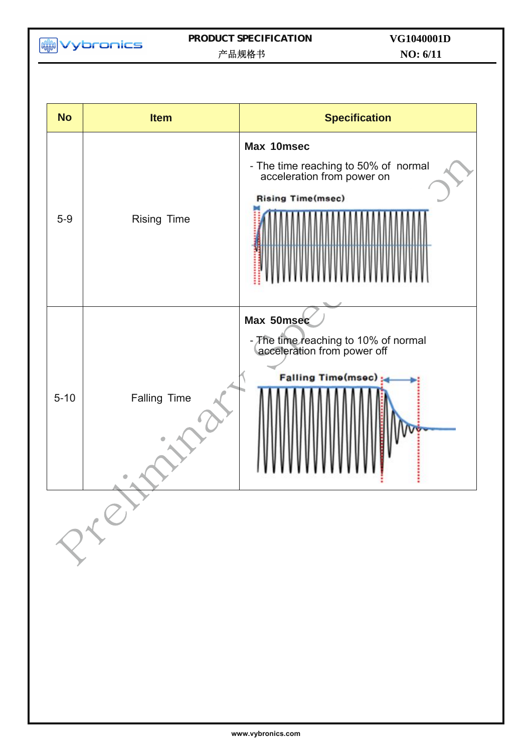**MM**<br>Wybronics

#### **PRODUCT SPECIFICATION**  产品规格书

**NO: 6/11 VG1040001D**

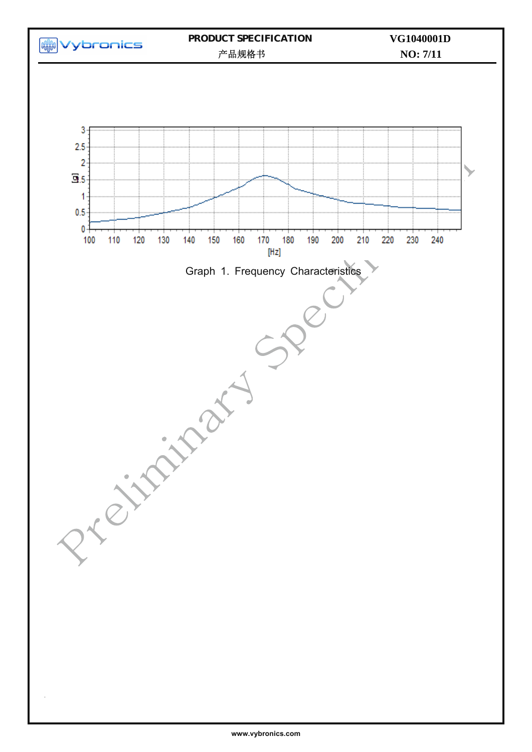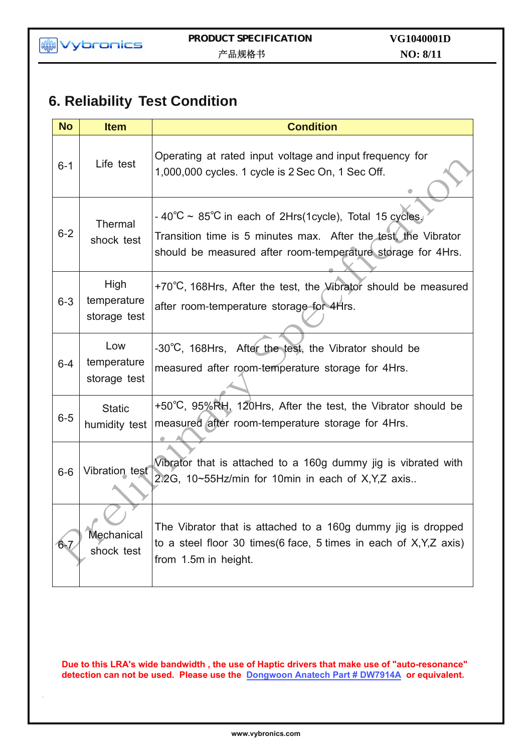## **6. Reliability Test Condition**

| <b>No</b> | <b>Item</b>                         | <b>Condition</b>                                                                                                                                                                                  |
|-----------|-------------------------------------|---------------------------------------------------------------------------------------------------------------------------------------------------------------------------------------------------|
| $6 - 1$   | Life test                           | Operating at rated input voltage and input frequency for<br>1,000,000 cycles. 1 cycle is 2 Sec On, 1 Sec Off.                                                                                     |
| $6 - 2$   | Thermal<br>shock test               | $-40^{\circ}$ C ~ 85°C in each of 2Hrs(1cycle), Total 15 cycles,<br>Transition time is 5 minutes max. After the test, the Vibrator<br>should be measured after room-temperature storage for 4Hrs. |
| $6 - 3$   | High<br>temperature<br>storage test | +70°C, 168Hrs, After the test, the Vibrator should be measured<br>after room-temperature storage for 4Hrs.                                                                                        |
| $6 - 4$   | Low<br>temperature<br>storage test  | -30°C, 168Hrs, After the test, the Vibrator should be<br>measured after room-temperature storage for 4Hrs.                                                                                        |
| $6-5$     | <b>Static</b><br>humidity test      | +50°C, 95%RH, 120Hrs, After the test, the Vibrator should be<br>measured after room-temperature storage for 4Hrs.                                                                                 |
| $6-6$     | Vibration test                      | Vibrator that is attached to a 160g dummy jig is vibrated with<br>2.2G, 10~55Hz/min for 10min in each of X, Y, Z axis                                                                             |
| $6 - 7$   | Mechanical<br>shock test            | The Vibrator that is attached to a 160g dummy jig is dropped<br>to a steel floor 30 times $(6 \text{ face}, 5 \text{ times} \text{ in each of } X, Y, Z \text{ axis})$<br>from 1.5m in height.    |

**Due to this LRA's wide bandwidth , the use of Haptic drivers that make use of "auto-resonance" detection can not be used. Please use the [Dongwoon Anatech Part # DW7914A](http://www.dwanatech.com/eng/sub/sub02_0105.php?cat_no=16) or equivalent.**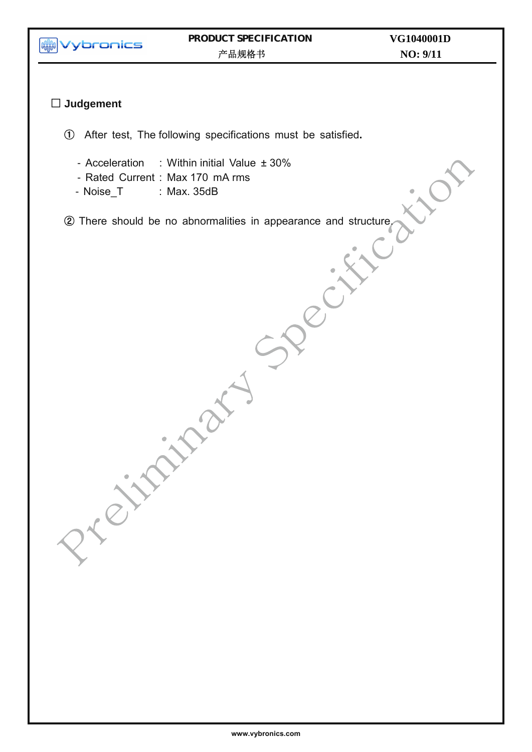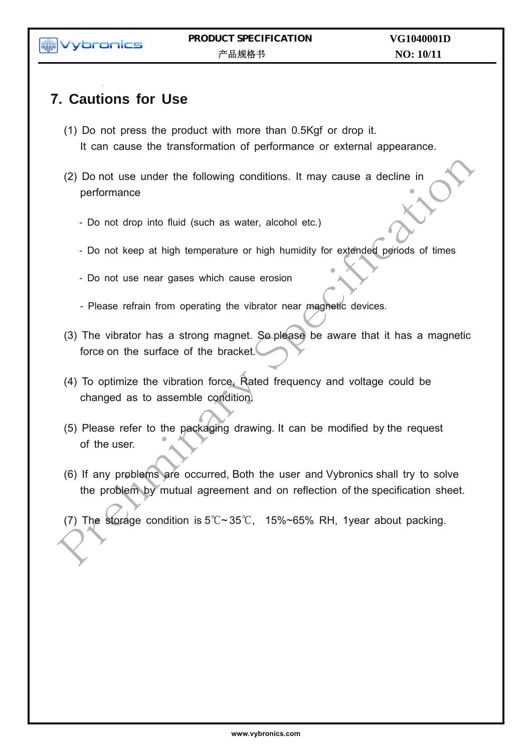**MM** Vybronics

## **7. Cautions for Use**

- (1) Do not press the product with more than 0.5Kgf or drop it. It can cause the transformation of performance or external appearance.
- (2) Do not use under the following conditions. It may cause a decline in performance
	- Do not drop into fluid (such as water, alcohol etc.)
	- Do not keep at high temperature or high humidity for extended periods of times
	- Do not use near gases which cause erosion
	- Please refrain from operating the vibrator near magnetic devices.
- (3) The vibrator has a strong magnet. So please be aware that it has a magnetic force on the surface of the bracket.
- (4) To optimize the vibration force, Rated frequency and voltage could be changed as to assemble condition.
- (5) Please refer to the packaging drawing. It can be modified by the request of the user.
- (6) If any problems are occurred, Both the user and Vybronics shall try to solve the problem by mutual agreement and on reflection of the specification sheet.
- (7) The storage condition is  $5^{\circ}$ C ~ 35°C, 15%~65% RH, 1year about packing.